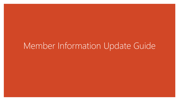# Member Information Update Guide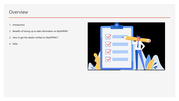#### **Overview**

- 1. Introduction
- 2. Benefits of having up to date information on MyAFRINIC
- 3. How to get the details verified on MyAFRINIC?
- 4. FAQs

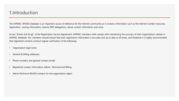#### 1.Introduction

The AFRINIC WHOIS Database is an important source of reference for the Internet community as it contains information such as the Internet number resources registration, routing information, reverse DNS delegations, abuse contact information and more.

As per "Article 2(d) & (g)" of the Registration Service Agreement, AFRINIC members shall comply with maintaining the accuracy of their organisation's details in AFRINIC database. ALL members should ensure that their registration information is accurate and up to date at all times, and therefore it is highly recommended that registered contacts conduct regular verification of the following:

- Organisation legal name
- General & billing addresses
- Phone numbers and general contact emails
- Registered contact information: Admin, Technical and Billing
- Admin/Technical WHOIS contacts for the organisation object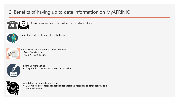## 2. Benefits of having up to date information on MyAFRINIC



Receive important notices by email and be reachable by phone



Courier hand delivery to your physical address



- Receive Invoices and settle payments on time
- Avoid Penalty fees
- Avoid Account closure



Board Elections voting

• Only admin contacts can vote online or onsite



Avoid delays in requests processing

• Only registered contacts can request for additional resources or other updates to a member's account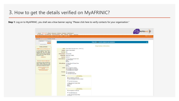**Step 1**: Log on to MyAFRINIC, you shall see a blue banner saying "Please click here to verify contacts for your organisation."

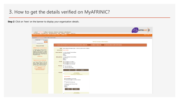**Step 2**: Click on 'here' on the banner to display your organisation details.

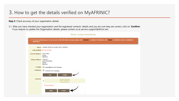**Step 3**: Check accuracy of your organisation details

3.1. After you have checked your organisation and the registered contacts' details and you are sure they are correct, click on '**Confirm**'. If you require to update the Organisation details, please contact us at service-support@afrinic.net.

| <b>Verify Contact Information</b>                                                                                                                                                             |                                                                                   |  |
|-----------------------------------------------------------------------------------------------------------------------------------------------------------------------------------------------|-----------------------------------------------------------------------------------|--|
| 7) For each contact person, if you are sure of the information accuracy, please click "Confirm" to validate it. Otherwise, click "Notify" to notify the contact to modify his<br>information. |                                                                                   |  |
|                                                                                                                                                                                               | Name: AFRINIC RPKI Test 2(ORG-ART1-AFRINIC)                                       |  |
|                                                                                                                                                                                               | Last-verified: Not yet Verified                                                   |  |
| <b>General Address: TEST ORG</b>                                                                                                                                                              | Ebene<br>Mauritius                                                                |  |
| <b>Billing Address: THIS IS A</b>                                                                                                                                                             | <b>TEST FOR RPKI</b><br>Ebene<br>Mauritius                                        |  |
| E-mails:                                                                                                                                                                                      | contact@afrinic.net (General)                                                     |  |
|                                                                                                                                                                                               | <b>Phone(s):</b> $\oslash$ +230 403 5127 (General)                                |  |
|                                                                                                                                                                                               | <b>Edit</b><br><b>Confirm</b>                                                     |  |
| <b>Contacts:</b>                                                                                                                                                                              | <b>Yogesh Chadee</b><br>$\overline{\mathbf{H}}$<br>(YC5-AFRINIC)<br>Contact type: |  |
|                                                                                                                                                                                               | <b>Not yet Verified</b>                                                           |  |
|                                                                                                                                                                                               | <b>Notify</b><br><b>Confirm</b>                                                   |  |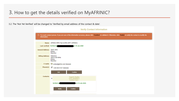3.2. The 'Not Yet Verified' will be changed to 'Verified by email address of the contact & date'.

| <b>Verify Contact Information</b>                                                                                                                                                        |                                                                       |  |
|------------------------------------------------------------------------------------------------------------------------------------------------------------------------------------------|-----------------------------------------------------------------------|--|
| To reach contact person, if you are sure of the information accuracy, please click Confirm to validate it. Otherwise, click "Notify" to notify the contact to modify his<br>information. |                                                                       |  |
|                                                                                                                                                                                          | Name: AFRINIC RPKI Test 2(ORG-ART1-AFRINIC)                           |  |
| Last-verified: Verified by                                                                                                                                                               | on 10-Jan-2020                                                        |  |
| <b>General Address: TEST ORG</b>                                                                                                                                                         | Ebene<br><b>Mauritius</b>                                             |  |
| <b>Billing Address: THIS IS A</b>                                                                                                                                                        | <b>TEST FOR RPKI</b><br>Ebene<br>Mauritius                            |  |
| E-mails:                                                                                                                                                                                 | contact@afrinic.net (General)                                         |  |
|                                                                                                                                                                                          | Phone(s): $\bigcirc$ +230 403 5127 (General)                          |  |
|                                                                                                                                                                                          | Edit<br>Confirm                                                       |  |
| <b>Contacts:</b>                                                                                                                                                                         | <b>Yogesh Chadee</b><br>$\biguplus$<br>(YC5-AFRINIC)<br>Contact type: |  |
|                                                                                                                                                                                          | <b>Verified by</b><br>on 10-Jan-2020.                                 |  |
|                                                                                                                                                                                          | <b>Notify</b><br>Confirm                                              |  |
|                                                                                                                                                                                          |                                                                       |  |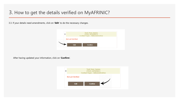3.3. If your details need amendments, click on '**Edit**' to do the necessary changes.



After having updated your information, click on '**Confirm**'.

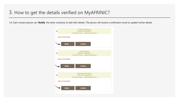3.4. Each contact person can '**Notify**' the other contact(s) to edit their details. The person will receive a notification email to update his/her details.

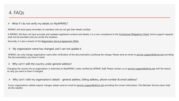$\triangleright$  What if I do not verify my details on MyAFRINIC?

AFRINIC will send yearly reminders to members who do not get their details verified.

If AFRINIC still does not have accurate and updated registered contacts and details, it is a non-compliance to the [Contractual Obligations Check](https://afrinic.net/support/my-afrinic-net/verifying-member-information); hence support requests shall not be provided until you rectify the situation.

Secondly, it is also a breach of the [Registration Service Agreement \(RSA\)](https://afrinic.net/support/my-afrinic-net/verifying-member-information).

 $\triangleright$  My organisation name has changed, and I can not update it.

AFRINIC can only change organisation name after verification of the documentation justifying the change. Please send an email to [service-support@afrinic.net](mailto:service-support@afrinic.net) providing the documentation you have in hand.

 $\triangleright$  Why can't I edit the country under general address?

Changing the country for an organisation is restricted on MyAFRINIC unless verified by AFRINIC Staff. Please contact us on [service-support@afrinic.net](mailto:service-support@afrinic.net) with the reason on why you want to have it changed.

➢ Why can't I edit my organisation's details - general address, billing address, phone number & email address?

If your organisation's details require changes, please send an email to [service-support@afrinic.net](mailto:service-support@afrinic.net) providing the correct information. The Member Services team shall do the needful.